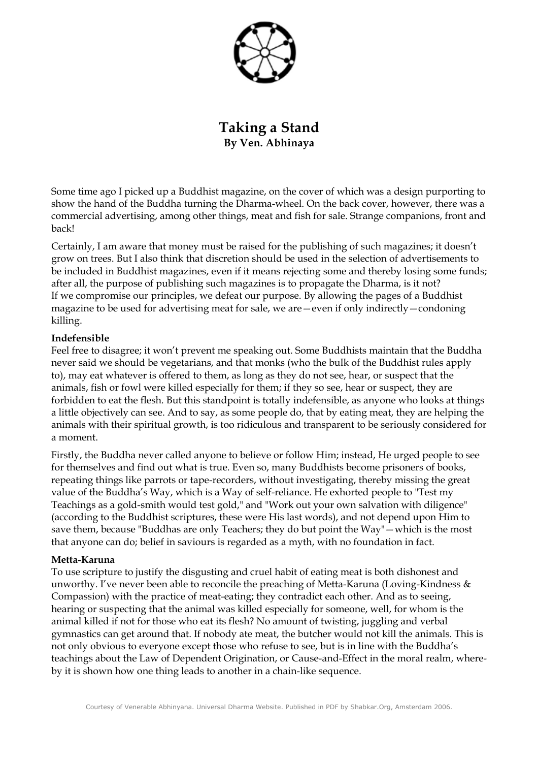

**Taking a Stand By Ven. Abhinaya**

Some time ago I picked up a Buddhist magazine, on the cover of which was a design purporting to show the hand of the Buddha turning the Dharma-wheel. On the back cover, however, there was a commercial advertising, among other things, meat and fish for sale. Strange companions, front and back!

Certainly, I am aware that money must be raised for the publishing of such magazines; it doesn't grow on trees. But I also think that discretion should be used in the selection of advertisements to be included in Buddhist magazines, even if it means rejecting some and thereby losing some funds; after all, the purpose of publishing such magazines is to propagate the Dharma, is it not? If we compromise our principles, we defeat our purpose. By allowing the pages of a Buddhist magazine to be used for advertising meat for sale, we are—even if only indirectly—condoning killing.

### **Indefensible**

Feel free to disagree; it won't prevent me speaking out. Some Buddhists maintain that the Buddha never said we should be vegetarians, and that monks (who the bulk of the Buddhist rules apply to), may eat whatever is offered to them, as long as they do not see, hear, or suspect that the animals, fish or fowl were killed especially for them; if they so see, hear or suspect, they are forbidden to eat the flesh. But this standpoint is totally indefensible, as anyone who looks at things a little objectively can see. And to say, as some people do, that by eating meat, they are helping the animals with their spiritual growth, is too ridiculous and transparent to be seriously considered for a moment.

Firstly, the Buddha never called anyone to believe or follow Him; instead, He urged people to see for themselves and find out what is true. Even so, many Buddhists become prisoners of books, repeating things like parrots or tape-recorders, without investigating, thereby missing the great value of the Buddha's Way, which is a Way of self-reliance. He exhorted people to "Test my Teachings as a gold-smith would test gold," and "Work out your own salvation with diligence" (according to the Buddhist scriptures, these were His last words), and not depend upon Him to save them, because "Buddhas are only Teachers; they do but point the Way"—which is the most that anyone can do; belief in saviours is regarded as a myth, with no foundation in fact.

### **Metta-Karuna**

To use scripture to justify the disgusting and cruel habit of eating meat is both dishonest and unworthy. I've never been able to reconcile the preaching of Metta-Karuna (Loving-Kindness & Compassion) with the practice of meat-eating; they contradict each other. And as to seeing, hearing or suspecting that the animal was killed especially for someone, well, for whom is the animal killed if not for those who eat its flesh? No amount of twisting, juggling and verbal gymnastics can get around that. If nobody ate meat, the butcher would not kill the animals. This is not only obvious to everyone except those who refuse to see, but is in line with the Buddha's teachings about the Law of Dependent Origination, or Cause-and-Effect in the moral realm, whereby it is shown how one thing leads to another in a chain-like sequence.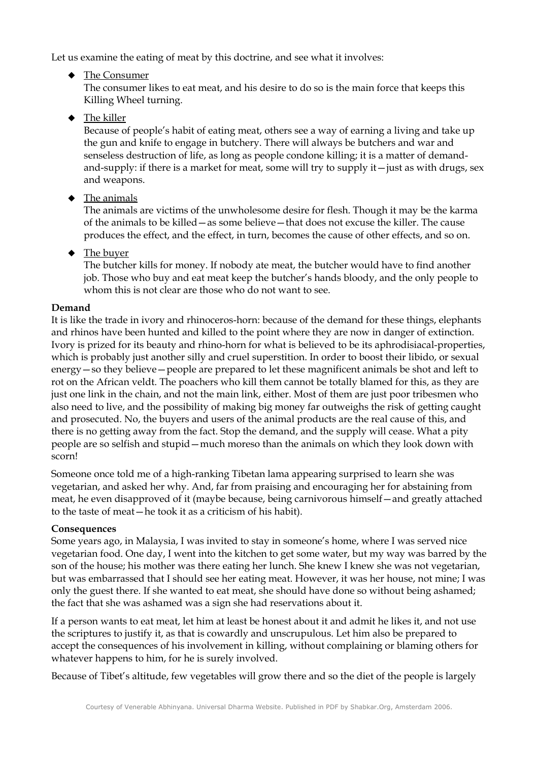Let us examine the eating of meat by this doctrine, and see what it involves:

 $\triangle$  The Consumer

The consumer likes to eat meat, and his desire to do so is the main force that keeps this Killing Wheel turning.

 $\blacklozenge$  The killer

Because of people's habit of eating meat, others see a way of earning a living and take up the gun and knife to engage in butchery. There will always be butchers and war and senseless destruction of life, as long as people condone killing; it is a matter of demandand-supply: if there is a market for meat, some will try to supply it—just as with drugs, sex and weapons.

 $\blacklozenge$  The animals

The animals are victims of the unwholesome desire for flesh. Though it may be the karma of the animals to be killed—as some believe—that does not excuse the killer. The cause produces the effect, and the effect, in turn, becomes the cause of other effects, and so on.

 $\blacklozenge$  The buyer

The butcher kills for money. If nobody ate meat, the butcher would have to find another job. Those who buy and eat meat keep the butcher's hands bloody, and the only people to whom this is not clear are those who do not want to see.

# **Demand**

It is like the trade in ivory and rhinoceros-horn: because of the demand for these things, elephants and rhinos have been hunted and killed to the point where they are now in danger of extinction. Ivory is prized for its beauty and rhino-horn for what is believed to be its aphrodisiacal-properties, which is probably just another silly and cruel superstition. In order to boost their libido, or sexual energy—so they believe—people are prepared to let these magnificent animals be shot and left to rot on the African veldt. The poachers who kill them cannot be totally blamed for this, as they are just one link in the chain, and not the main link, either. Most of them are just poor tribesmen who also need to live, and the possibility of making big money far outweighs the risk of getting caught and prosecuted. No, the buyers and users of the animal products are the real cause of this, and there is no getting away from the fact. Stop the demand, and the supply will cease. What a pity people are so selfish and stupid—much moreso than the animals on which they look down with scorn!

Someone once told me of a high-ranking Tibetan lama appearing surprised to learn she was vegetarian, and asked her why. And, far from praising and encouraging her for abstaining from meat, he even disapproved of it (maybe because, being carnivorous himself—and greatly attached to the taste of meat—he took it as a criticism of his habit).

# **Consequences**

Some years ago, in Malaysia, I was invited to stay in someone's home, where I was served nice vegetarian food. One day, I went into the kitchen to get some water, but my way was barred by the son of the house; his mother was there eating her lunch. She knew I knew she was not vegetarian, but was embarrassed that I should see her eating meat. However, it was her house, not mine; I was only the guest there. If she wanted to eat meat, she should have done so without being ashamed; the fact that she was ashamed was a sign she had reservations about it.

If a person wants to eat meat, let him at least be honest about it and admit he likes it, and not use the scriptures to justify it, as that is cowardly and unscrupulous. Let him also be prepared to accept the consequences of his involvement in killing, without complaining or blaming others for whatever happens to him, for he is surely involved.

Because of Tibet's altitude, few vegetables will grow there and so the diet of the people is largely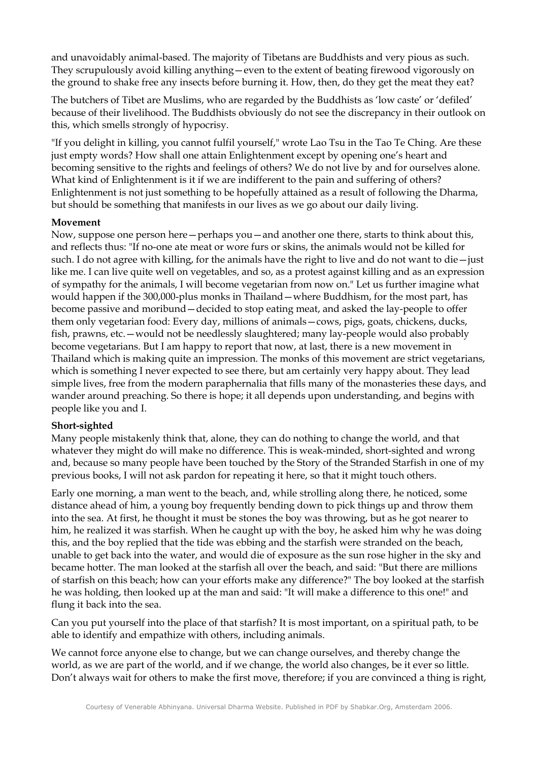and unavoidably animal-based. The majority of Tibetans are Buddhists and very pious as such. They scrupulously avoid killing anything—even to the extent of beating firewood vigorously on the ground to shake free any insects before burning it. How, then, do they get the meat they eat?

The butchers of Tibet are Muslims, who are regarded by the Buddhists as 'low caste' or 'defiled' because of their livelihood. The Buddhists obviously do not see the discrepancy in their outlook on this, which smells strongly of hypocrisy.

"If you delight in killing, you cannot fulfil yourself," wrote Lao Tsu in the Tao Te Ching. Are these just empty words? How shall one attain Enlightenment except by opening one's heart and becoming sensitive to the rights and feelings of others? We do not live by and for ourselves alone. What kind of Enlightenment is it if we are indifferent to the pain and suffering of others? Enlightenment is not just something to be hopefully attained as a result of following the Dharma, but should be something that manifests in our lives as we go about our daily living.

### **Movement**

Now, suppose one person here—perhaps you—and another one there, starts to think about this, and reflects thus: "If no-one ate meat or wore furs or skins, the animals would not be killed for such. I do not agree with killing, for the animals have the right to live and do not want to die—just like me. I can live quite well on vegetables, and so, as a protest against killing and as an expression of sympathy for the animals, I will become vegetarian from now on." Let us further imagine what would happen if the 300,000-plus monks in Thailand—where Buddhism, for the most part, has become passive and moribund—decided to stop eating meat, and asked the lay-people to offer them only vegetarian food: Every day, millions of animals—cows, pigs, goats, chickens, ducks, fish, prawns, etc.—would not be needlessly slaughtered; many lay-people would also probably become vegetarians. But I am happy to report that now, at last, there is a new movement in Thailand which is making quite an impression. The monks of this movement are strict vegetarians, which is something I never expected to see there, but am certainly very happy about. They lead simple lives, free from the modern paraphernalia that fills many of the monasteries these days, and wander around preaching. So there is hope; it all depends upon understanding, and begins with people like you and I.

## **Short-sighted**

Many people mistakenly think that, alone, they can do nothing to change the world, and that whatever they might do will make no difference. This is weak-minded, short-sighted and wrong and, because so many people have been touched by the Story of the Stranded Starfish in one of my previous books, I will not ask pardon for repeating it here, so that it might touch others.

Early one morning, a man went to the beach, and, while strolling along there, he noticed, some distance ahead of him, a young boy frequently bending down to pick things up and throw them into the sea. At first, he thought it must be stones the boy was throwing, but as he got nearer to him, he realized it was starfish. When he caught up with the boy, he asked him why he was doing this, and the boy replied that the tide was ebbing and the starfish were stranded on the beach, unable to get back into the water, and would die of exposure as the sun rose higher in the sky and became hotter. The man looked at the starfish all over the beach, and said: "But there are millions of starfish on this beach; how can your efforts make any difference?" The boy looked at the starfish he was holding, then looked up at the man and said: "It will make a difference to this one!" and flung it back into the sea.

Can you put yourself into the place of that starfish? It is most important, on a spiritual path, to be able to identify and empathize with others, including animals.

We cannot force anyone else to change, but we can change ourselves, and thereby change the world, as we are part of the world, and if we change, the world also changes, be it ever so little. Don't always wait for others to make the first move, therefore; if you are convinced a thing is right,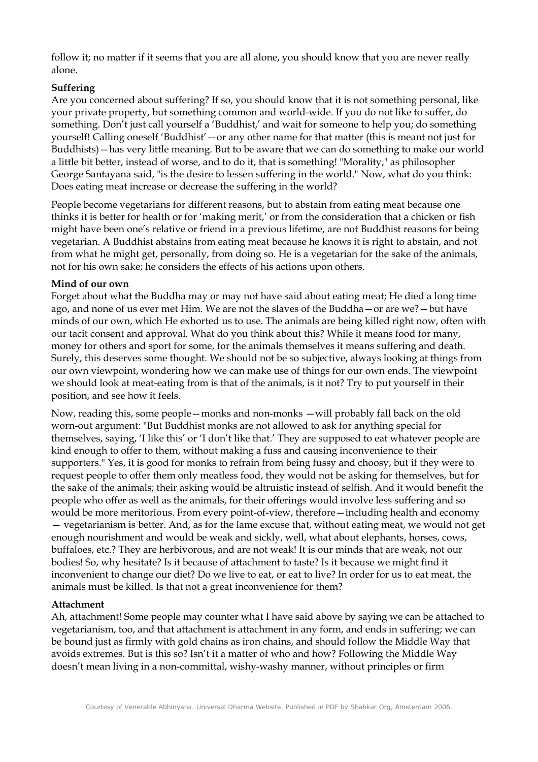follow it; no matter if it seems that you are all alone, you should know that you are never really alone.

## **Suffering**

Are you concerned about suffering? If so, you should know that it is not something personal, like your private property, but something common and world-wide. If you do not like to suffer, do something. Don't just call yourself a 'Buddhist,' and wait for someone to help you; do something yourself! Calling oneself 'Buddhist'—or any other name for that matter (this is meant not just for Buddhists)—has very little meaning. But to be aware that we can do something to make our world a little bit better, instead of worse, and to do it, that is something! "Morality," as philosopher George Santayana said, "is the desire to lessen suffering in the world." Now, what do you think: Does eating meat increase or decrease the suffering in the world?

People become vegetarians for different reasons, but to abstain from eating meat because one thinks it is better for health or for 'making merit,' or from the consideration that a chicken or fish might have been one's relative or friend in a previous lifetime, are not Buddhist reasons for being vegetarian. A Buddhist abstains from eating meat because he knows it is right to abstain, and not from what he might get, personally, from doing so. He is a vegetarian for the sake of the animals, not for his own sake; he considers the effects of his actions upon others.

### **Mind of our own**

Forget about what the Buddha may or may not have said about eating meat; He died a long time ago, and none of us ever met Him. We are not the slaves of the Buddha—or are we?—but have minds of our own, which He exhorted us to use. The animals are being killed right now, often with our tacit consent and approval. What do you think about this? While it means food for many, money for others and sport for some, for the animals themselves it means suffering and death. Surely, this deserves some thought. We should not be so subjective, always looking at things from our own viewpoint, wondering how we can make use of things for our own ends. The viewpoint we should look at meat-eating from is that of the animals, is it not? Try to put yourself in their position, and see how it feels.

Now, reading this, some people—monks and non-monks —will probably fall back on the old worn-out argument: "But Buddhist monks are not allowed to ask for anything special for themselves, saying, 'I like this' or 'I don't like that.' They are supposed to eat whatever people are kind enough to offer to them, without making a fuss and causing inconvenience to their supporters." Yes, it is good for monks to refrain from being fussy and choosy, but if they were to request people to offer them only meatless food, they would not be asking for themselves, but for the sake of the animals; their asking would be altruistic instead of selfish. And it would benefit the people who offer as well as the animals, for their offerings would involve less suffering and so would be more meritorious. From every point-of-view, therefore—including health and economy — vegetarianism is better. And, as for the lame excuse that, without eating meat, we would not get enough nourishment and would be weak and sickly, well, what about elephants, horses, cows, buffaloes, etc.? They are herbivorous, and are not weak! It is our minds that are weak, not our bodies! So, why hesitate? Is it because of attachment to taste? Is it because we might find it inconvenient to change our diet? Do we live to eat, or eat to live? In order for us to eat meat, the animals must be killed. Is that not a great inconvenience for them?

#### **Attachment**

Ah, attachment! Some people may counter what I have said above by saying we can be attached to vegetarianism, too, and that attachment is attachment in any form, and ends in suffering; we can be bound just as firmly with gold chains as iron chains, and should follow the Middle Way that avoids extremes. But is this so? Isn't it a matter of who and how? Following the Middle Way doesn't mean living in a non-committal, wishy-washy manner, without principles or firm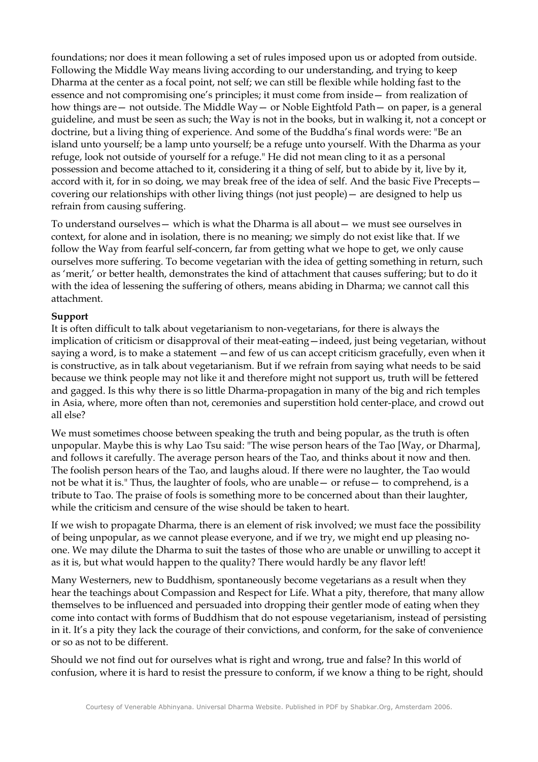foundations; nor does it mean following a set of rules imposed upon us or adopted from outside. Following the Middle Way means living according to our understanding, and trying to keep Dharma at the center as a focal point, not self; we can still be flexible while holding fast to the essence and not compromising one's principles; it must come from inside— from realization of how things are— not outside. The Middle Way— or Noble Eightfold Path— on paper, is a general guideline, and must be seen as such; the Way is not in the books, but in walking it, not a concept or doctrine, but a living thing of experience. And some of the Buddha's final words were: "Be an island unto yourself; be a lamp unto yourself; be a refuge unto yourself. With the Dharma as your refuge, look not outside of yourself for a refuge." He did not mean cling to it as a personal possession and become attached to it, considering it a thing of self, but to abide by it, live by it, accord with it, for in so doing, we may break free of the idea of self. And the basic Five Precepts covering our relationships with other living things (not just people)— are designed to help us refrain from causing suffering.

To understand ourselves— which is what the Dharma is all about— we must see ourselves in context, for alone and in isolation, there is no meaning; we simply do not exist like that. If we follow the Way from fearful self-concern, far from getting what we hope to get, we only cause ourselves more suffering. To become vegetarian with the idea of getting something in return, such as 'merit,' or better health, demonstrates the kind of attachment that causes suffering; but to do it with the idea of lessening the suffering of others, means abiding in Dharma; we cannot call this attachment.

### **Support**

It is often difficult to talk about vegetarianism to non-vegetarians, for there is always the implication of criticism or disapproval of their meat-eating—indeed, just being vegetarian, without saying a word, is to make a statement —and few of us can accept criticism gracefully, even when it is constructive, as in talk about vegetarianism. But if we refrain from saying what needs to be said because we think people may not like it and therefore might not support us, truth will be fettered and gagged. Is this why there is so little Dharma-propagation in many of the big and rich temples in Asia, where, more often than not, ceremonies and superstition hold center-place, and crowd out all else?

We must sometimes choose between speaking the truth and being popular, as the truth is often unpopular. Maybe this is why Lao Tsu said: "The wise person hears of the Tao [Way, or Dharma], and follows it carefully. The average person hears of the Tao, and thinks about it now and then. The foolish person hears of the Tao, and laughs aloud. If there were no laughter, the Tao would not be what it is." Thus, the laughter of fools, who are unable— or refuse— to comprehend, is a tribute to Tao. The praise of fools is something more to be concerned about than their laughter, while the criticism and censure of the wise should be taken to heart.

If we wish to propagate Dharma, there is an element of risk involved; we must face the possibility of being unpopular, as we cannot please everyone, and if we try, we might end up pleasing noone. We may dilute the Dharma to suit the tastes of those who are unable or unwilling to accept it as it is, but what would happen to the quality? There would hardly be any flavor left!

Many Westerners, new to Buddhism, spontaneously become vegetarians as a result when they hear the teachings about Compassion and Respect for Life. What a pity, therefore, that many allow themselves to be influenced and persuaded into dropping their gentler mode of eating when they come into contact with forms of Buddhism that do not espouse vegetarianism, instead of persisting in it. It's a pity they lack the courage of their convictions, and conform, for the sake of convenience or so as not to be different.

Should we not find out for ourselves what is right and wrong, true and false? In this world of confusion, where it is hard to resist the pressure to conform, if we know a thing to be right, should